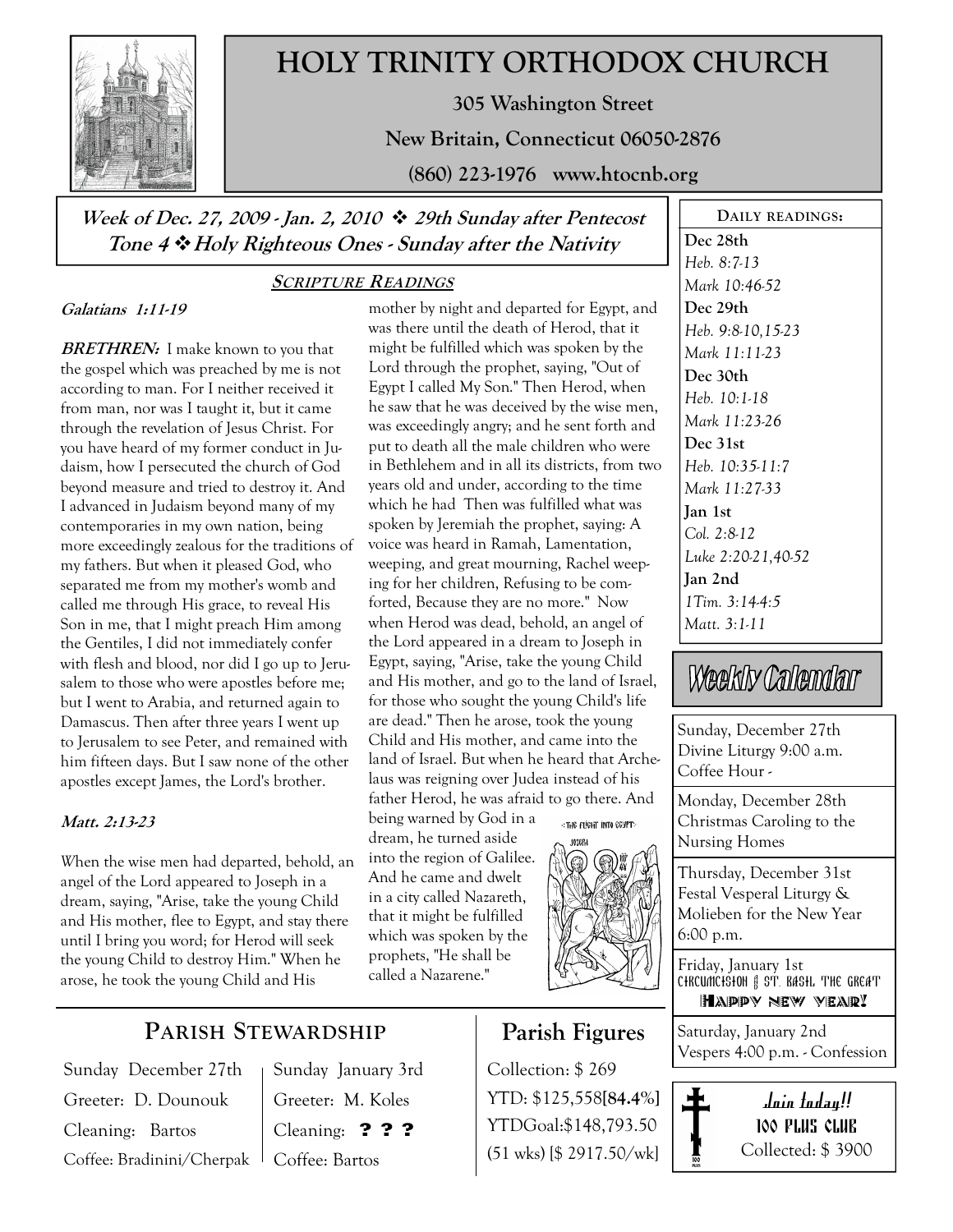

# HOLY TRINITY ORTHODOX CHURCH

305 Washington Street

New Britain, Connecticut 06050-2876

(860) 223-1976 www.htocnb.org

Week of Dec. 27, 2009 - Jan. 2, 2010  $\cdot$  29th Sunday after Pentecost Tone 4  $\triangleleft$  Holy Righteous Ones - Sunday after the Nativity

#### Galatians 1:11-19

**BRETHREN:** I make known to you that the gospel which was preached by me is not according to man. For I neither received it from man, nor was I taught it, but it came through the revelation of Jesus Christ. For you have heard of my former conduct in Judaism, how I persecuted the church of God beyond measure and tried to destroy it. And I advanced in Judaism beyond many of my contemporaries in my own nation, being more exceedingly zealous for the traditions of my fathers. But when it pleased God, who separated me from my mother's womb and called me through His grace, to reveal His Son in me, that I might preach Him among the Gentiles, I did not immediately confer with flesh and blood, nor did I go up to Jerusalem to those who were apostles before me; but I went to Arabia, and returned again to Damascus. Then after three years I went up to Jerusalem to see Peter, and remained with him fifteen days. But I saw none of the other apostles except James, the Lord's brother.

#### Matt. 2:13-23

When the wise men had departed, behold, an angel of the Lord appeared to Joseph in a dream, saying, "Arise, take the young Child and His mother, flee to Egypt, and stay there until I bring you word; for Herod will seek the young Child to destroy Him." When he arose, he took the young Child and His

### SCRIPTURE READINGS

mother by night and departed for Egypt, and was there until the death of Herod, that it might be fulfilled which was spoken by the Lord through the prophet, saying, "Out of Egypt I called My Son." Then Herod, when he saw that he was deceived by the wise men, was exceedingly angry; and he sent forth and put to death all the male children who were in Bethlehem and in all its districts, from two years old and under, according to the time which he had Then was fulfilled what was spoken by Jeremiah the prophet, saying: A voice was heard in Ramah, Lamentation, weeping, and great mourning, Rachel weeping for her children, Refusing to be comforted, Because they are no more." Now when Herod was dead, behold, an angel of the Lord appeared in a dream to Joseph in Egypt, saying, "Arise, take the young Child and His mother, and go to the land of Israel, for those who sought the young Child's life are dead." Then he arose, took the young Child and His mother, and came into the land of Israel. But when he heard that Archelaus was reigning over Judea instead of his father Herod, he was afraid to go there. And being warned by God in a «THE FLIGHT INTO EGYPT» dream, he turned aside

into the region of Galilee. And he came and dwelt in a city called Nazareth, that it might be fulfilled which was spoken by the prophets, "He shall be called a Nazarene."



### Parish Figures

Collection: \$ 269 YTD: \$125,558[84.4%] YTDGoal:\$148,793.50 (51 wks) [\$ 2917.50/wk]

DAILY READINGS: Dec 28th Heb. 8:7-13 Mark 10:46-52 Dec 29th Heb. 9:8-10,15-23 Mark 11:11-23 Dec 30th Heb. 10:1-18 Mark 11:23-26 Dec 31st Heb. 10:35-11:7 Mark 11:27-33 Jan 1st Col. 2:8-12 Luke 2:20-21,40-52 Jan 2nd 1Tim. 3:14-4:5 Matt. 3:1-11

# Weekly Calendar

Sunday, December 27th Divine Liturgy 9:00 a.m. Coffee Hour -

Monday, December 28th Christmas Caroling to the Nursing Homes

Thursday, December 31st Festal Vesperal Liturgy & Molieben for the New Year 6:00 p.m.

Friday, January 1st CHRCUMCHSHON & ST. BASHL THE GREAT Happy new year!

Saturday, January 2nd Vespers 4:00 p.m. - Confession



## PARISH STEWARDSHIP

Sunday December 27th Greeter: D. Dounouk Cleaning: Bartos Coffee: Bradinini/Cherpak

Sunday January 3rd Greeter: M. Koles Cleaning: ??? Coffee: Bartos